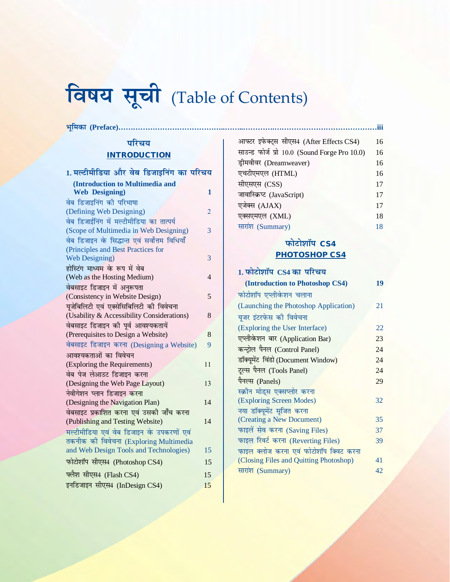# **विषय सूची** (Table of Contents)

**Hkwfedk (Preface)……………………………………..……..………….……………………………………iii**

### **परिचय INTRODUCTION**

| 1.मल्टीमीडिया और वेब डिजाइनिंग का परिचय       |    |
|-----------------------------------------------|----|
| (Introduction to Multimedia and               |    |
| <b>Web Designing)</b>                         | 1  |
| वेब डिजाइनिंग की परिभाषा                      |    |
| (Defining Web Designing)                      | 2  |
| वेब डिजाईनिंग में मल्टीमीडिया का तात्पर्य     |    |
| (Scope of Multimedia in Web Designing)        | 3  |
| वेब डिजाइन के सिद्धान्त एवं सर्वोत्तम विधियाँ |    |
| (Principles and Best Practices for            |    |
| <b>Web Designing</b> )                        | 3  |
| होस्टिंग माध्यम के रूप में वेब                |    |
| (Web as the Hosting Medium)                   | 4  |
| वेबसाइट डिजाइन में अनुरूपता                   |    |
| (Consistency in Website Design)               | 5  |
| यूजेबिलिटी एवं एक्सेसिबिलिटी की विवेचना       |    |
| (Usability & Accessibility Considerations)    | 8  |
| वेबसाइट डिजाइन की पूर्व आवश्यकतायें           |    |
| (Prerequisites to Design a Website)           | 8  |
| वेबसाइट डिजाइन करना (Designing a Website)     | 9  |
| आवश्यकताओं का विवेचन                          |    |
| (Exploring the Requirements)                  | 11 |
| वेब पेज लेआउट डिजाइन करना                     |    |
| (Designing the Web Page Layout)               | 13 |
| नेवीगेशन प्लान डिजाइन करना                    |    |
| (Designing the Navigation Plan)               | 14 |
| वेबसाइट प्रकाशित करना एवं उसकी जाँच करना      |    |
| (Publishing and Testing Website)              | 14 |
| मल्टीमीडिया एवं वेब डिजाइन के उपकरणों एवं     |    |
| तकनीक की विवेचना (Exploring Multimedia        |    |
| and Web Design Tools and Technologies)        | 15 |
| फोटोशॉप सीएस4 (Photoshop CS4)                 | 15 |
| फ्लैश सीएस4 (Flash CS4)                       | 15 |
| इनडिजाइन सीएस4 (InDesign CS4)                 | 15 |
|                                               |    |

| आफ्टर इफेक्ट्स सीएस4 (After Effects CS4)      | 16 |
|-----------------------------------------------|----|
| साउन्ड फोर्ज प्रो 10.0 (Sound Forge Pro 10.0) | 16 |
| ड्रीमवीवर (Dreamweaver)                       | 16 |
| एचटीएमएल (HTML)                               | 16 |
| सीएसएस (CSS)                                  | 17 |
| जावास्क्रिप्ट (JavaScript)                    | 17 |
| एजेक्स (AJAX)                                 | 17 |
| एक्सएमएल (XML)                                | 18 |
| सारांश (Summary)                              | 18 |

## $\overline{\text{width}}$  **CS4 PHOTOSHOP CS4**

| 1. फोटोशॉप CS4 का परिचय                |    |
|----------------------------------------|----|
| (Introduction to Photoshop CS4)        | 19 |
| फोटोशॉप एप्लीकेशन चलाना                |    |
| (Launching the Photoshop Application)  | 21 |
| यूजर इंटरफेस की विवेचना                |    |
| (Exploring the User Interface)         | 22 |
| एप्लीकेशन बार (Application Bar)        | 23 |
| कन्ट्रोल पैनल (Control Panel)          | 24 |
| डॉक्यूमेंट विंडो (Document Window)     | 24 |
| ट्रल्स पैनल (Tools Panel)              | 24 |
| पैनल्स (Panels)                        | 29 |
| स्क्रीन मोड्स एक्सप्लोर करना           |    |
| (Exploring Screen Modes)               | 32 |
| नया डॉक्यूमेंट सृजित करना              |    |
| (Creating a New Document)              | 35 |
| फाइलें सेव करना (Saving Files)         | 37 |
| फाइल रिवर्ट करना (Reverting Files)     | 39 |
| फाइल क्लोज करना एवं फोटोशॉप क्विट करना |    |
| (Closing Files and Quitting Photoshop) | 41 |
| सारांश (Summary)                       | 42 |
|                                        |    |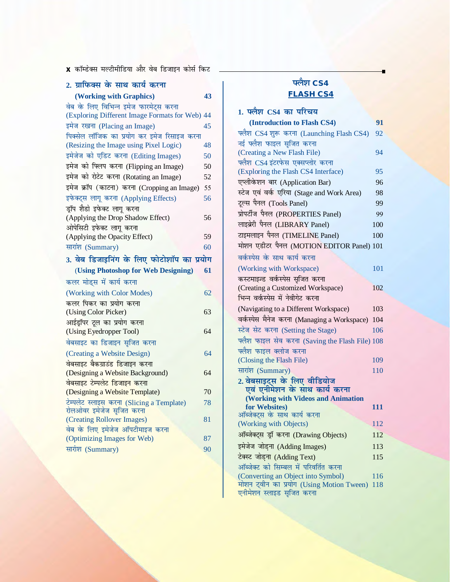<mark>x</mark> कॉम्डेक्स मल्टीमीडिया और वेब डिजाइन कोर्स किट

| 2. ग्राफिक्स के साथ कार्य करना              |    |
|---------------------------------------------|----|
| (Working with Graphics)                     | 43 |
| वेब के लिए विभिन्न इमेज फारमेट्स करना       |    |
| (Exploring Different Image Formats for Web) | 44 |
| इमेज रखना (Placing an Image)                | 45 |
| पिक्सेल लॉजिक का प्रयोग कर इमेज रिसाइज करना |    |
| (Resizing the Image using Pixel Logic)      | 48 |
| इमेजेज को एडिट करना (Editing Images)        | 50 |
| इमेज को फ्लिप करना (Flipping an Image)      | 50 |
| इमेज को रोटेट करना (Rotating an Image)      | 52 |
| इमेज क्रॉप (काटना) करना (Cropping an Image) | 55 |
| इफेक्ट्स लागू करना (Applying Effects)       | 56 |
| डॉप शैडो इफेक्ट लागू करना                   |    |
| (Applying the Drop Shadow Effect)           | 56 |
| ओपेसिटी इफेक्ट लागू करना                    |    |
| (Applying the Opacity Effect)               | 59 |
| सारांश (Summary)                            | 60 |
| 3. वेब डिजाइनिंग के लिए फोटोशॉप का प्रयोग   |    |
| (Using Photoshop for Web Designing)         | 61 |
| कलर मोड्स में कार्य करना                    |    |
| (Working with Color Modes)                  | 62 |
| कलर पिकर का प्रयोग करना                     |    |
| (Using Color Picker)                        | 63 |
| आईड्रॉपर टूल का प्रयोग करना                 |    |
| (Using Eyedropper Tool)                     | 64 |
| वेबसाइट का डिजाइन सृजित करना                |    |
| (Creating a Website Design)                 | 64 |
| वेबसाइट बैकग्राउंड डिजाइन करना              |    |
| (Designing a Website Background)            | 64 |
| वेबसाइट टेम्पलेट डिजाइन करना                |    |
| (Designing a Website Template)              | 70 |
| टेम्पलेट स्लाइस करना (Slicing a Template)   | 78 |
| रोलओवर इमेजेज सृजित करना                    |    |
| (Creating Rollover Images)                  | 81 |
| वेब के लिए इमेजेज ऑपटीमाइज करना             |    |
| (Optimizing Images for Web)                 | 87 |
| सारांश (Summary)                            | 90 |
|                                             |    |

## **पलैश CS4 FLASH CS4**

| 1. फ्लैश CS4 का परिचय                                                  |     |
|------------------------------------------------------------------------|-----|
| (Introduction to Flash CS4)                                            | 91  |
| फ्लैश CS4 शुरू करना (Launching Flash CS4)                              | 92  |
| नई फ्लैश फाइल सृजित करना                                               |     |
| (Creating a New Flash File)                                            | 94  |
| फ्लैश CS4 इंटरफेस एक्सप्लोर करना                                       |     |
| (Exploring the Flash CS4 Interface)                                    | 95  |
| एप्लीकेशन बार (Application Bar)                                        | 96  |
| स्टेज एवं वर्क एरिया (Stage and Work Area)                             | 98  |
| टूल्स पैनल (Tools Panel)                                               | 99  |
| प्रोपर्टीज पैनल (PROPERTIES Panel)                                     | 99  |
| लाइब्रेरी पैनल (LIBRARY Panel)                                         | 100 |
| टाइमलाइन पैनल (TIMELINE Panel)                                         | 100 |
| मोशन एडीटर पैनल (MOTION EDITOR Panel) 101                              |     |
| वर्कस्पेस के साथ कार्य करना                                            |     |
| (Working with Workspace)                                               | 101 |
| कस्टमाझ्ज्ड वर्कस्पेस सुजित करना                                       |     |
| (Creating a Customized Workspace)                                      | 102 |
| भिन्न वर्कस्पेस में नेवीगेट करना                                       |     |
| (Navigating to a Different Workspace)                                  | 103 |
| वर्कस्पेस मैनेज करना (Managing a Workspace)                            | 104 |
| स्टेज सेट करना (Setting the Stage)                                     | 106 |
| फ्लैश फाइल सेव करना (Saving the Flash File) 108                        |     |
| फ्लैश फाइल क्लोज करना                                                  |     |
| (Closing the Flash File)                                               | 109 |
| सारांश (Summary)                                                       | 110 |
| 2. वेबसाइट्स के लिए वीडियोज<br>एवं एनीमेशन के साथ कार्य करना           |     |
|                                                                        |     |
| <b>(Working with Videos and Animation</b><br>for Websites)             | 111 |
| ऑब्जेक्ट्स के साथ कार्य करना                                           |     |
| (Working with Objects)                                                 | 112 |
| ऑब्जेक्ट्स ड्रॉ करना (Drawing Objects)                                 | 112 |
| इमेजेज जोड़ना (Adding Images)                                          | 113 |
| टेक्स्ट जोड़ना (Adding Text)                                           | 115 |
| ऑब्जेक्ट को सिम्बल में परिवर्तित करना                                  |     |
| (Converting an Object into Symbol)                                     | 116 |
| मोशन ट्वीन का प्रयोग (Using Motion Tween)<br>एनीमेशन स्लाइड सृजित करना | 118 |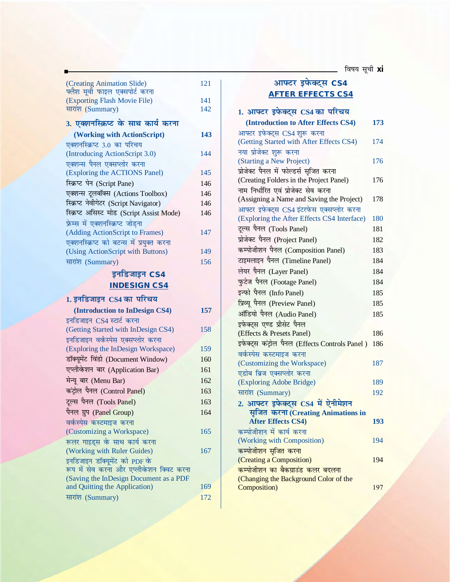<mark>\_</mark>\_ विषय सूची <mark>xi</mark>

| (Creating Animation Slide)                                                         | 121        |
|------------------------------------------------------------------------------------|------------|
| फ्लैश मूर्वी फाइल एक्सपोर्ट करना                                                   |            |
| (Exporting Flash Movie File)<br>सारांश (Summary)                                   | 141<br>142 |
|                                                                                    |            |
| 3. एक्शनस्क्रिप्ट के साथ कार्य करना                                                |            |
| (Working with ActionScript)                                                        | 143        |
| एक्शनस्क्रिप्ट 3.0 का परिचय                                                        |            |
| (Introducing ActionScript 3.0)                                                     | 144        |
| एक्शन्स पैनल एक्सप्लोर करना                                                        |            |
| (Exploring the ACTIONS Panel)                                                      | 145        |
| स्क्रिप्ट पेन (Script Pane)                                                        | 146        |
| एक्शन्स टूलबॉक्स (Actions Toolbox)                                                 | 146        |
| स्क्रिप्ट नेवीगेटर (Script Navigator)                                              | 146        |
| स्क्रिप्ट असिस्ट मोड (Script Assist Mode)                                          | 146        |
| फ्रेम्स में एक्शनस्क्रिप्ट जोडना                                                   |            |
| (Adding ActionScript to Frames)                                                    | 147        |
| एक्शनस्क्रिप्ट को बटन्स में प्रयुक्त करना                                          |            |
| (Using ActionScript with Buttons)                                                  | 149        |
| सारांश (Summary)                                                                   | 156        |
| इनडिजाइन CS4                                                                       |            |
| <b>INDESIGN CS4</b>                                                                |            |
|                                                                                    |            |
|                                                                                    |            |
| 1. इनडिजाइन CS4 का परिचय                                                           |            |
| (Introduction to InDesign CS4)                                                     | 157        |
| इनडिजाइन CS4 स्टार्ट करना                                                          |            |
| (Getting Started with InDesign CS4)                                                | 158        |
| इनडिजाइन वर्कस्पेस एक्सप्लोर करना                                                  |            |
| (Exploring the InDesign Workspace)                                                 | 159        |
| डॉक्यूमेंट विंडो (Document Window)                                                 | 160        |
| एप्लीकेशन बार (Application Bar)                                                    | 161        |
| मेन्यू बार (Menu Bar)                                                              | 162        |
| कंट्रोल पैनल (Control Panel)                                                       | 163        |
|                                                                                    |            |
| टूल्स पैनल (Tools Panel)                                                           | 163        |
| पैनल ग्रुप (Panel Group)                                                           | 164        |
| वर्कस्पेस कस्टमाइज करना                                                            |            |
| (Customizing a Workspace)                                                          | 165        |
| रूलर गाइड्स के साथ कार्य करना                                                      | 167        |
| (Working with Ruler Guides)                                                        |            |
| इनडिजाइन डॉक्यूमेंट को PDF के                                                      |            |
| रूप में सेव करना और एप्लीकेशन क्विट करना<br>(Saving the InDesign Document as a PDF |            |
| and Quitting the Application)                                                      | 169        |

#### आफ्टर इफेक्ट्स CS4 **AFTER EFFECTS CS4**

| 1. आफ्टर इफेक्ट्स CS4 का परिचय                 |     |
|------------------------------------------------|-----|
| (Introduction to After Effects CS4)            | 173 |
| आफ्टर इफेक्ट्स CS4 शुरू करना                   |     |
| (Getting Started with After Effects CS4)       | 174 |
| नया प्रोजेक्ट शुरू करना                        |     |
| (Starting a New Project)                       | 176 |
| प्रोजेक्ट पैनल में फोल्डर्स सृजित करना         |     |
| (Creating Folders in the Project Panel)        | 176 |
| नाम निर्धारित एवं प्रोजेक्ट सेव करना           |     |
| (Assigning a Name and Saving the Project)      | 178 |
| आफ्टर इफेक्ट्स CS4 इंटरफेस एक्सप्लोर करना      |     |
| (Exploring the After Effects CS4 Interface)    | 180 |
| टूल्स पैनल (Tools Panel)                       | 181 |
| प्रोजेक्ट पैनल (Project Panel)                 | 182 |
| कम्पोजीशन पैनल (Composition Panel)             | 183 |
| टाइमलाइन पैनल (Timeline Panel)                 | 184 |
| लेयर पैनल (Layer Panel)                        | 184 |
| फुटेज पैनल (Footage Panel)                     | 184 |
| इन्फो पैनल (Info Panel)                        | 185 |
| प्रिव्यू पैनल (Preview Panel)                  | 185 |
| ऑडियो पैनल (Audio Panel)                       | 185 |
| इफेक्ट्स एण्ड प्रीसेट पैनल                     |     |
| (Effects & Presets Panel)                      | 186 |
| इफेक्ट्स कंट्रोल पैनल (Effects Controls Panel) | 186 |
| वर्कस्पेस कस्टमाइज करना                        |     |
| (Customizing the Workspace)                    | 187 |
| एडोब ब्रिज एक्सप्लोर करना                      |     |
| (Exploring Adobe Bridge)                       | 189 |
| सारांश (Summary)                               | 192 |
| 2. आफ्टर इफेक्ट्स CS4 में ऐनीमेशन              |     |
| सृजित करना (Creating Animations in             |     |
| <b>After Effects CS4)</b>                      | 193 |
| कम्पोजीशन में कार्य करना                       |     |
| (Working with Composition)                     | 194 |
| कम्पोजीशन सृजित करना                           |     |
| (Creating a Composition)                       | 194 |
| कम्पोजीशन का बैकग्राउंड कलर बदलना              |     |
| (Changing the Background Color of the          |     |
| Composition)                                   | 197 |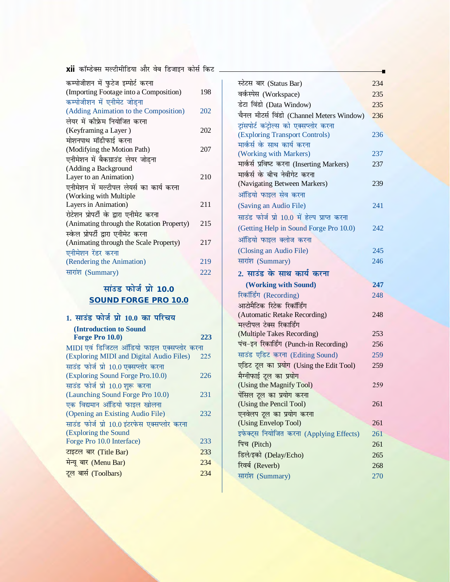<mark>xii</mark> कॉम्डेक्स मल्टीमीडिया और वेब डिजाइन कोर्स किट <sub>-</sub>

| कम्पोजीशन में फुटेज इम्पोर्ट करना         |     |
|-------------------------------------------|-----|
| (Importing Footage into a Composition)    | 198 |
| कम्पोजीशन में एनीमेट जोडना                |     |
| (Adding Animation to the Composition)     | 202 |
| लेयर में कीफ्रेम नियोजित करना             |     |
| (Keyframing a Layer)                      | 202 |
| मोशनपाथ मॉडीफाई करना                      |     |
| (Modifying the Motion Path)               | 207 |
| एनीमेशन में बैकग्राउंड लेयर जोडना         |     |
| (Adding a Background                      |     |
| Layer to an Animation)                    | 210 |
| एनीमेशन में मल्टीपल लेयर्स का कार्य करना  |     |
| (Working with Multiple                    |     |
| Layers in Animation)                      | 211 |
| रोटेशन प्रोपर्टी के द्वारा एनीमेट करना    |     |
| (Animating through the Rotation Property) | 215 |
| स्केल प्रोपर्टी द्वारा एनीमेट करना        |     |
| (Animating through the Scale Property)    | 217 |
| एनीमेशन रेंडर करना                        |     |
| (Rendering the Animation)                 | 219 |
| सारांश (Summary)                          | 222 |

## **lamage 10.0 SOUND FORGE PRO 10.0**

| 1. साउंड फोर्ज प्रो 10.0 का परिचय            |     |
|----------------------------------------------|-----|
| (Introduction to Sound                       |     |
| Forge Pro 10.0)                              | 223 |
| MIDI एवं डिजिटल ऑडियो फाइल एक्सप्लोर करना    |     |
| (Exploring MIDI and Digital Audio Files)     | 225 |
| साउंड फोर्ज प्रो 10.0 एक्सप्लोर करना         |     |
| (Exploring Sound Forge Pro.10.0)             | 226 |
| साउंड फोर्ज प्रो 10.0 शुरू करना              |     |
| (Launching Sound Forge Pro 10.0)             | 231 |
| एक विद्यमान ऑडियो फाइल खोलना                 |     |
| (Opening an Existing Audio File)             | 232 |
| साउंड फोर्ज प्रो 10.0 इंटरफेस एक्सप्लोर करना |     |
| (Exploring the Sound                         |     |
| Forge Pro 10.0 Interface)                    | 233 |
| टाइटल बार (Title Bar)                        | 233 |
| मेन्यू बार (Menu Bar)                        | 234 |
| टूल बार्स (Toolbars)                         | 234 |
|                                              |     |

| स्टेटस बार (Status Bar)                           | 234 |
|---------------------------------------------------|-----|
| वर्कस्पेस (Workspace)                             | 235 |
| डेटा विंडो (Data Window)                          | 235 |
| चैनल मीटर्स विंडो (Channel Meters Window)         | 236 |
| टांसपोर्ट कंटोल्स को एक्सप्लोर करना               |     |
| (Exploring Transport Controls)                    | 236 |
| मार्कर्स के साथ कार्य करना                        |     |
| (Working with Markers)                            | 237 |
| मार्कर्स प्रविष्ट करना (Inserting Markers)        | 237 |
| मार्कर्स के बीच नेवीगेट करना                      |     |
| (Navigating Between Markers)                      | 239 |
| ऑडियो फाइल सेव करना                               |     |
| (Saving an Audio File)                            | 241 |
| साउंड फोर्ज प्रो 10.0 में हेल्प प्राप्त करना      |     |
| (Getting Help in Sound Forge Pro 10.0)            | 242 |
| ऑडियो फाइल क्लोज करना                             |     |
| (Closing an Audio File)                           | 245 |
| सारांश (Summary)                                  | 246 |
| 2. साउंड के साथ कार्य करना                        |     |
| (Working with Sound)                              | 247 |
| रिकॉर्डिंग (Recording)                            | 248 |
| आटोमैटिक रिटेक रिकॉर्डिंग                         |     |
| (Automatic Retake Recording)                      | 248 |
| मल्टीपल टेक्स रिकार्डिंग                          |     |
| (Multiple Takes Recording)                        | 253 |
| पंच-इन रिकार्डिंग (Punch-in Recording)            | 256 |
| साउंड एडिट करना (Editing Sound)                   | 259 |
| एडिट टूल का प्रयोग (Using the Edit Tool)          | 259 |
| मैग्नीफाई टूल का प्रयोग                           |     |
| (Using the Magnify Tool)                          | 259 |
| पेंसिल टूल का प्रयोग करना                         |     |
| (Using the Pencil Tool)                           | 261 |
| एनवेलप टूल का प्रयोग करना<br>(Using Envelop Tool) | 261 |
| इफेक्ट्स नियोजित करना (Applying Effects)          | 261 |
| पिच (Pitch)                                       | 261 |
| डिले/इको (Delay/Echo)                             | 265 |
| रिवर्ब (Reverb)                                   | 268 |
| सारांश (Summary)                                  | 270 |
|                                                   |     |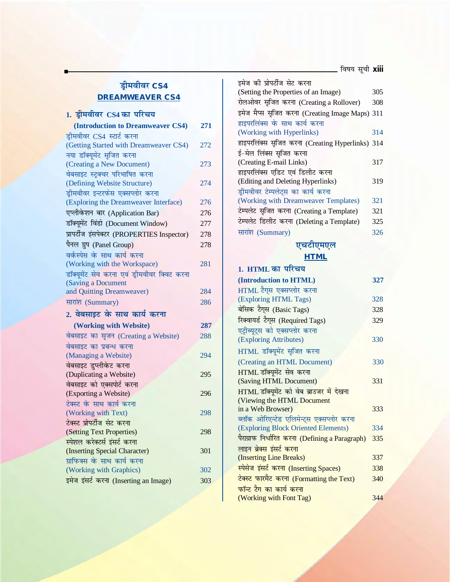#### <u>ड्री</u>मवीवर CS4 **DREAMWEAVER CS4**

# 1. ड्रीमवीवर CS4 का परिचय

| (Introduction to Dreamweaver CS4)            | 271 |
|----------------------------------------------|-----|
| ड्रीमवीवर CS4 स्टार्ट करना                   |     |
| (Getting Started with Dreamweaver CS4)       | 272 |
| नया डॉक्यूमेंट सृजित करना                    |     |
| (Creating a New Document)                    | 273 |
| वेबसाइट स्ट्रक्चर परिभाषित करना              |     |
| (Defining Website Structure)                 | 274 |
| ड्रीमवीवर इन्टरफेस एक्सप्लोर करना            |     |
| (Exploring the Dreamweaver Interface)        | 276 |
| एप्लीकेशन बार (Application Bar)              | 276 |
| डॉक्यूमेंट विंडो (Document Window)           | 277 |
| प्रापर्टीज इंसपेक्टर (PROPERTIES Inspector)  | 278 |
| पैनल ग्रुप (Panel Group)                     | 278 |
| वर्कस्पेस के साथ कार्य करना                  |     |
| (Working with the Workspace)                 | 281 |
| डॉक्यूमेंट सेव करना एवं ड्रीमवीवर क्विट करना |     |
| (Saving a Document                           |     |
| and Quitting Dreamweaver)                    | 284 |
| सारांश (Summary)                             | 286 |
| 2. वेबसाइट के साथ कार्य करना                 |     |
| (Working with Website)                       | 287 |
| वेबसाइट का सृजन (Creating a Website)         | 288 |
| वेबसाइट का प्रबन्ध करना                      |     |
| (Managing a Website)                         | 294 |
| वेबसाइट डुप्लीकेट करना                       |     |
| (Duplicating a Website)                      | 295 |
| वेबसाइट को एक्सपोर्ट करना                    |     |
| (Exporting a Website)                        | 296 |
| टेक्स्ट के साथ कार्य करना                    |     |
| (Working with Text)                          | 298 |
| टेक्स्ट प्रोपर्टीज सेट करना                  |     |
| (Setting Text Properties)                    | 298 |
| स्पेशल करेक्टर्स इंसर्ट करना                 |     |
| (Inserting Special Character)                | 301 |
| ग्राफिक्स के साथ कार्य करना                  |     |
| (Working with Graphics)                      | 302 |
| इमेज इंसर्ट करना (Inserting an Image)        | 303 |
|                                              |     |

| इमेज की प्रोपर्टीज सेट करना                      |     |
|--------------------------------------------------|-----|
| (Setting the Properties of an Image)             | 305 |
| रोलओवर सृजित करना (Creating a Rollover)          | 308 |
| इमेज मैप्स सृजित करना (Creating Image Maps) 311  |     |
| हाइपरलिंक्स के साथ कार्य करना                    |     |
| (Working with Hyperlinks)                        | 314 |
| हाइपरलिंक्स सृजित करना (Creating Hyperlinks) 314 |     |
| ई–मेल लिंक्स सृजित करना                          |     |
| (Creating E-mail Links)                          | 317 |
| हाइपरलिंक्स एडिट एवं डिलीट करना                  |     |
| (Editing and Deleting Hyperlinks)                | 319 |
| ड्रीमवीवर टेम्पलेट्स का कार्य करना               |     |
| (Working with Dreamweaver Templates)             | 321 |
| टेम्पलेट सृजित करना (Creating a Template)        | 321 |
| टेम्पलेट डिलीट करना (Deleting a Template)        | 325 |
| सारांश (Summary)                                 | 326 |
|                                                  |     |

#### **एचटीएमएल HTML**

| 1. HTML का परिचय                                |     |
|-------------------------------------------------|-----|
| (Introduction to HTML)                          | 327 |
| HTML टैग्स एक्सप्लोर करना                       |     |
| (Exploring HTML Tags)                           | 328 |
| बेसिक टैग्स (Basic Tags)                        | 328 |
| रिक्वायर्ड टैग्स (Required Tags)                | 329 |
| एट्रीब्यूट्स को एक्सप्लोर करना                  |     |
| (Exploring Attributes)                          | 330 |
| HTML डॉक्यूमेंट सृजित करना                      |     |
| (Creating an HTML Document)                     | 330 |
| HTML डॉक्यूमेंट सेव करना                        |     |
| (Saving HTML Document)                          | 331 |
| HTML डॉक्यूमेंट को वेब ब्राउजर में देखना        |     |
| (Viewing the HTML Document                      |     |
| in a Web Browser)                               | 333 |
| ब्लॉक ओरिएन्टेड एलिमेन्ट्स एक्सप्लोर करना       |     |
| (Exploring Block Oriented Elements)             | 334 |
| पैराग्राफ निर्धारित करना (Defining a Paragraph) | 335 |
| लाइन ब्रेक्स इंसर्ट करना                        |     |
| (Inserting Line Breaks)                         | 337 |
| स्पेसेज इंसर्ट करना (Inserting Spaces)          | 338 |
| टेक्स्ट फारमैट करना (Formatting the Text)       | 340 |
| फॉन्ट टैग का कार्य करना                         |     |
| (Working with Font Tag)                         | 344 |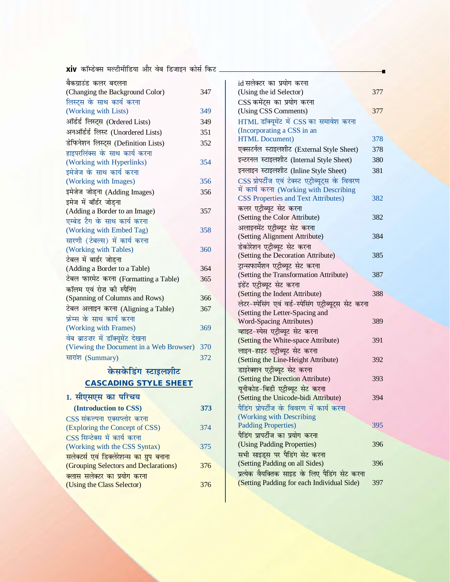<mark>xiv</mark> कॉम्डेक्स मल्टीमीडिया और वेब डिजाइन कोर्स किट <sub>-</sub>

| बैकग्राउंड कलर बदलना                    |     |
|-----------------------------------------|-----|
| (Changing the Background Color)         | 347 |
| लिस्ट्स के साथ कार्य करना               |     |
| (Working with Lists)                    | 349 |
| ऑर्डर्ड लिस्ट्स (Ordered Lists)         | 349 |
| अनऑर्डर्ड लिस्ट (Unordered Lists)       | 351 |
| डेफिनेशन लिस्ट्स (Definition Lists)     | 352 |
| हाइपरलिंक्स के साथ कार्य करना           |     |
| (Working with Hyperlinks)               | 354 |
| इमेजेज के साथ कार्य करना                |     |
| (Working with Images)                   | 356 |
| इमेजेज जोड़ना (Adding Images)           | 356 |
| इमेज में बॉर्डर जोडना                   |     |
| (Adding a Border to an Image)           | 357 |
| एम्बेड टैग के साथ कार्य करना            |     |
| (Working with Embed Tag)                | 358 |
| सारणी (टेबल्स) में कार्य करना           |     |
| (Working with Tables)                   | 360 |
| टेबल में बार्डर जोडना                   |     |
| (Adding a Border to a Table)            | 364 |
| टेबल फारमेट करना (Formatting a Table)   | 365 |
| कॉलम एवं रोज़ की स्पैनिंग               |     |
| (Spanning of Columns and Rows)          | 366 |
| टेबल अलाइन करना (Aligning a Table)      | 367 |
| फ्रेम्स के साथ कार्य करना               |     |
| (Working with Frames)                   | 369 |
| वेब ब्राउज़र में डॉक्यूमेंट देखना       |     |
| (Viewing the Document in a Web Browser) | 370 |
| सारांश (Summary)                        | 372 |
|                                         |     |

# **केसकेडिंग स्टाइलशीट CASCADING STYLE SHEET**

# 1. सीएसएस का परिचय

| (Introduction to CSS)                     | 373 |
|-------------------------------------------|-----|
| CSS संकल्पना एक्सप्लोर करना               |     |
| (Exploring the Concept of CSS)            | 374 |
| CSS सिन्टेक्स में कार्य करना              |     |
| (Working with the CSS Syntax)             | 375 |
| सलेक्टर्स एवं डिक्लेरेशन्स का ग्रुप बनाना |     |
| (Grouping Selectors and Declarations)     | 376 |
| क्लास सलेक्टर का प्रयोग करना              |     |
| (Using the Class Selector)                | 376 |
|                                           |     |

| id सलेक्टर का प्रयोग करना                                          |     |
|--------------------------------------------------------------------|-----|
| (Using the id Selector)                                            | 377 |
| CSS कमेंट्स का प्रयोग करना                                         |     |
| (Using CSS Comments)                                               | 377 |
| HTML डॉक्यूमेंट में CSS का समावेश करना                             |     |
| (Incorporating a CSS in an                                         |     |
| <b>HTML</b> Document)                                              | 378 |
| एक्सटर्नल स्टाइलशीट (External Style Sheet)                         | 378 |
| इन्टरनल स्टाइलशीट (Internal Style Sheet)                           | 380 |
| इनलाइन स्टाइलशीट (Inline Style Sheet)                              | 381 |
| CSS प्रोपर्टीज एवं टेक्स्ट एट्रीब्यूट्स के विवरण                   |     |
| में कार्य करना (Working with Describing                            |     |
| <b>CSS Properties and Text Attributes)</b>                         | 382 |
| कलर एट्रीब्यूट सेट करना                                            |     |
| (Setting the Color Attribute)                                      | 382 |
| अलाइनमेंट एट्रीब्यूट सेट <mark>कर</mark> ना                        |     |
| (Setting Alignment Attribute)                                      | 384 |
| डेकोरेशन एट्रीब्यूट सेट करना                                       |     |
| (Setting the Decoration Attribute)                                 | 385 |
| ट्रान्सफार्मेशन एट्रीब्यूट सेट करना                                |     |
| (Setting the Transformation Attribute)                             | 387 |
| इंडेंट एट्रीब्यूट सेट करना                                         |     |
| (Setting the Indent Attribute)                                     | 388 |
| लेटर-स्पेसिंग एवं वर्ड-स्पेसिंग एट्रीब्यूट्स सेट करना              |     |
| (Setting the Letter-Spacing and                                    |     |
| Word-Spacing Attributes)                                           | 389 |
| व्हाइट-स्पेस एट्रीब्यूट सेट करना                                   |     |
| (Setting the White-space Attribute)                                | 391 |
| लाइन-हाइट एट्रीब्यूट सेट करना                                      |     |
| (Setting the Line-Height Attribute)                                | 392 |
| डाइरेक्शन एट्रीब्यूट सेट करना<br>(Setting the Direction Attribute) | 393 |
| यूनीकोड-बिडी एट्रीब्यूट सेट करना                                   |     |
| (Setting the Unicode-bidi Attribute)                               | 394 |
| पैडिंग प्रोपर्टीज के विवरण में कार्य करना                          |     |
| (Working with Describing                                           |     |
| <b>Padding Properties)</b>                                         | 395 |
| पैडिंग प्रापर्टीज का प्रयोग करना                                   |     |
| (Using Padding Properties)                                         | 396 |
| सभी साइड्स पर पैडिंग सेट करना                                      |     |
| (Setting Padding on all Sides)                                     | 396 |
| प्रत्येक वैयक्तिक साइड के लिए पैडिंग सेट करना                      |     |
| (Setting Padding for each Individual Side)                         | 397 |
|                                                                    |     |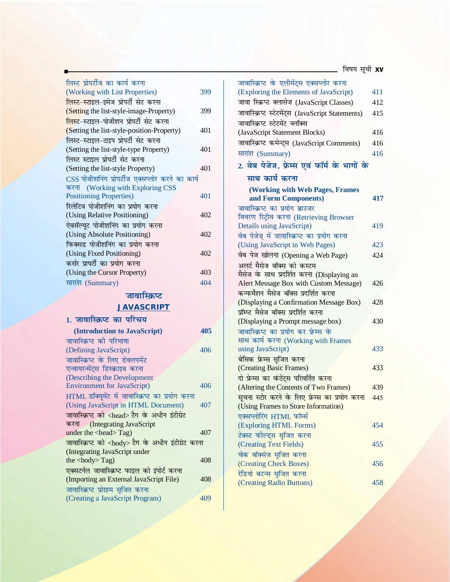| लिस्ट प्रोपर्टीज का कार्य करना                            |     |
|-----------------------------------------------------------|-----|
| (Working with List Properties)                            | 399 |
| लिस्ट-स्टाइल-इमेज प्रोपर्टी सेट करना                      |     |
| (Setting the list-style-image-Property)                   | 399 |
| <mark>लिस्ट-</mark> स्टाइल-पोजीशन प्रोपर्टी सेट करना      |     |
| (Setting the list-style-position-Property)                | 401 |
| लिस्ट-स्टाइल-टाइप प्रोपर्टी सेट करना                      |     |
| (Setting the list-style-type Property)                    | 401 |
| लिस्ट स्टाइल प्रोपर्टी सेट करना                           |     |
| (Setting the list-style Property)                         | 401 |
| CSS पोजीशनिंग प्रोपर्टीज एक्सप्लोर करने का कार्य          |     |
| करना (Working with Exploring CSS                          |     |
| <b>Positioning Properties)</b>                            | 401 |
| रिलेटिव पोजीशनिंग का प्रयोग करना                          |     |
| (Using Relative Positioning)                              | 402 |
| ऐबसॅल्यूट पोजीशनिंग का प्रयोग करना                        |     |
| (Using Absolute Positioning)                              | 402 |
| फिक्सड पोजीशनिंग का प्रयोग करना                           |     |
| (Using Fixed Positioning)                                 | 402 |
| कर्सर प्रापर्टी का प्रयोग करना                            |     |
| (Using the Cursor Property)                               | 403 |
| सारांश (Summary)                                          | 404 |
| जावास्क्रिप्ट                                             |     |
| <b>JAVASCRIPT</b>                                         |     |
|                                                           |     |
| 1. जावास्क्रिप्ट का परिचय                                 |     |
| (Introduction to JavaScript)                              | 405 |
| जावास्क्रिप्ट की परिभाषा                                  |     |
| (Defining JavaScript)                                     | 406 |
| जावास्क्रिप्ट के लिए डेवलपमेंट                            |     |
| एन्वायरन्मेंट्स डिस्क्राइब करना                           |     |
| (Describing the Development                               |     |
| <b>Environment for JavaScript)</b>                        | 406 |
| HTML डॉक्यूमेंट में जावास्क्रिप्ट का प्रयोग करना          |     |
| (Using JavaScript in HTML Document)                       | 407 |
| जावास्क्रिप्ट को <head> टैग के अधीन इंटीग्रेट</head>      |     |
| करना (Integrating JavaScript                              |     |
| under the <head>Tag)</head>                               | 407 |
| जावास्क्रिप्ट को <body> टैग के अधीन इंटीग्रेट करना</body> |     |
| (Integrating JavaScript under                             |     |

 $\frac{1}{2}$  the  $\frac{1}{2}$  Cody> Tag) 408

(Importing an External JavaScript File) 408

(Creating a JavaScript Program) 409

एक्सटर्नल जावास्क्रिप्<mark>ट</mark> फाइल को इंपोर्ट करना

जावास्क्रिप्ट प्रोग्राम सृजित करना

| जावास्क्रिप्ट के एलीमेंट्स एक्सप्लोर करना               |     |
|---------------------------------------------------------|-----|
| (Exploring the Elements of JavaScript)                  | 411 |
| जावा स्क्रिप्ट क्लासेज (JavaScript Classes)             | 412 |
| जावास्क्रिप्ट स्टेटमेंट्स (JavaScript Statements)       | 415 |
| जावास्क्रिप्ट स्टेटमेंट ब्लॉक्स                         |     |
| (JavaScript Statement Blocks)                           | 416 |
| जावास्क्रिप्ट कमेन्ट्स (JavaScript Comments)            | 416 |
| सारांश (Summary)                                        | 416 |
| 2. वेब पेजेज, फ्रेम्स एवं फॉर्म के भागों के             |     |
| साथ कार्य करना                                          |     |
|                                                         |     |
| (Working with Web Pages, Frames<br>and Form Components) | 417 |
| जावास्क्रिप्ट का प्रयोग ब्राउजर                         |     |
| विवरण रिट्रीव करना (Retrieving Browser                  |     |
| Details using JavaScript)                               | 419 |
| वेब पेजेज् में जावास्क्रिप्ट का प्रयोग करना             |     |
| (Using JavaScript in Web Pages)                         | 423 |
| वेब पेज खोलना (Opening a Web Page)                      | 424 |
| अलर्ट मैसेज बॉक्स को कस्टम                              |     |
| मैसेज के साथ प्रदर्शित करना (Displaying an              |     |
| Alert Message Box with Custom Message)                  | 426 |
| कन्फर्मेशन मैसेज बॉक्स प्रदर्शित करना                   |     |
| (Displaying a Confirmation Message Box)                 | 428 |
| प्रॉम्प्ट मैसेज बॉक्स प्रदर्शित करना                    |     |
| (Displaying a Prompt message box)                       | 430 |
| जावास्क्रिप्ट का प्रयोग कर फ्रेम्स के                   |     |
| साथ कार्य करना (Working with Frames                     |     |
| using JavaScript)                                       | 433 |
| बेसिक फ्रेम्स सृजित करना                                |     |
| (Creating Basic Frames)                                 | 433 |
| दो फ्रेम्स का कंटेंट्स परिवर्तित <mark>करना</mark>      |     |
| (Altering the Contents of Two Frames)                   | 439 |
| सूचना स्टोर करने के लिए फ्रेम्स का प्रयोग करना          | 445 |
| (Using Frames to Store Information)                     |     |
| एक्सप्लोरिंग HTML फॉर्म्स<br>(Exploring HTML Forms)     | 454 |
| टेक्स्ट फोल्ड्स सृजित करना                              |     |
| (Creating Text Fields)                                  | 455 |
| चेक बॉक्सेज सृजित करना                                  |     |
| (Creating Check Boxes)                                  | 456 |
| रेडियो बटन्स सृजित करना                                 |     |
| (Creating Radio Buttons)                                | 458 |
|                                                         |     |